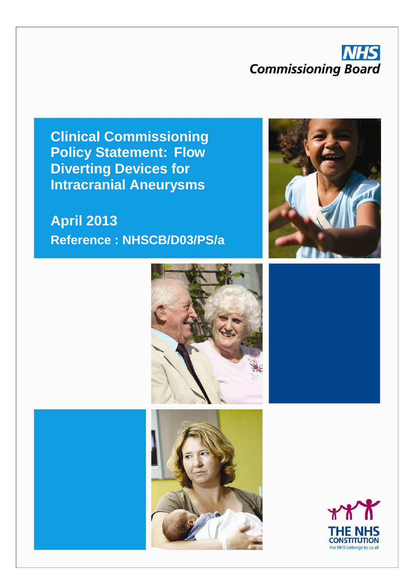### **NHS Commissioning Board**

**Clinical Commissioning Policy Statement: Flow Diverting Devices for Intracranial Aneurysms**

### **April 2013 Reference : NHSCB/D03/PS/a**







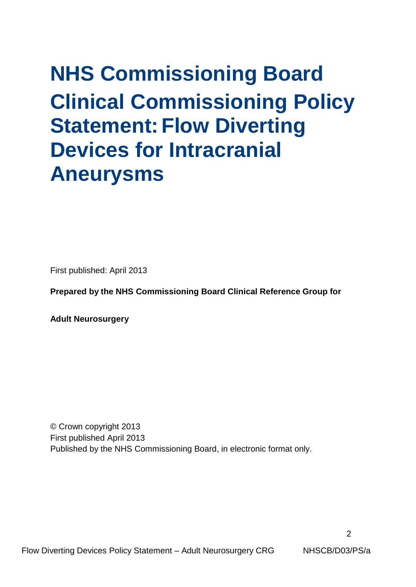# **NHS Commissioning Board Clinical Commissioning Policy Statement: Flow Diverting Devices for Intracranial Aneurysms**

First published: April 2013

**Prepared by the NHS Commissioning Board Clinical Reference Group for**

**Adult Neurosurgery**

© Crown copyright 2013 First published April 2013 Published by the NHS Commissioning Board, in electronic format only.

Flow Diverting Devices Policy Statement – Adult Neurosurgery CRG NHSCB/D03/PS/a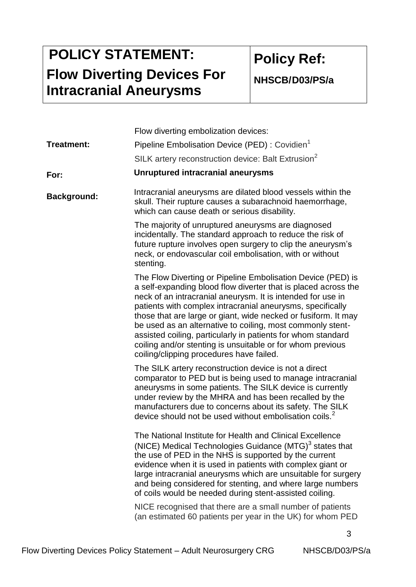## **POLICY STATEMENT: Flow Diverting Devices For Intracranial Aneurysms**

**Policy Ref:** 

**NHSCB/D03/PS/a**

|                    | Flow diverting embolization devices:                                                                                                                                                                                                                                                                                                                                                                                                                                                                                                                                 |  |  |  |
|--------------------|----------------------------------------------------------------------------------------------------------------------------------------------------------------------------------------------------------------------------------------------------------------------------------------------------------------------------------------------------------------------------------------------------------------------------------------------------------------------------------------------------------------------------------------------------------------------|--|--|--|
| <b>Treatment:</b>  | Pipeline Embolisation Device (PED) : Covidien <sup>1</sup>                                                                                                                                                                                                                                                                                                                                                                                                                                                                                                           |  |  |  |
|                    | SILK artery reconstruction device: Balt Extrusion <sup>2</sup>                                                                                                                                                                                                                                                                                                                                                                                                                                                                                                       |  |  |  |
| For:               | <b>Unruptured intracranial aneurysms</b>                                                                                                                                                                                                                                                                                                                                                                                                                                                                                                                             |  |  |  |
| <b>Background:</b> | Intracranial aneurysms are dilated blood vessels within the<br>skull. Their rupture causes a subarachnoid haemorrhage,<br>which can cause death or serious disability.                                                                                                                                                                                                                                                                                                                                                                                               |  |  |  |
|                    | The majority of unruptured aneurysms are diagnosed<br>incidentally. The standard approach to reduce the risk of<br>future rupture involves open surgery to clip the aneurysm's<br>neck, or endovascular coil embolisation, with or without<br>stenting.                                                                                                                                                                                                                                                                                                              |  |  |  |
|                    | The Flow Diverting or Pipeline Embolisation Device (PED) is<br>a self-expanding blood flow diverter that is placed across the<br>neck of an intracranial aneurysm. It is intended for use in<br>patients with complex intracranial aneurysms, specifically<br>those that are large or giant, wide necked or fusiform. It may<br>be used as an alternative to coiling, most commonly stent-<br>assisted coiling, particularly in patients for whom standard<br>coiling and/or stenting is unsuitable or for whom previous<br>coiling/clipping procedures have failed. |  |  |  |
|                    | The SILK artery reconstruction device is not a direct<br>comparator to PED but is being used to manage intracranial<br>aneurysms in some patients. The SILK device is currently<br>under review by the MHRA and has been recalled by the<br>manufacturers due to concerns about its safety. The SILK<br>device should not be used without embolisation coils. <sup>2</sup>                                                                                                                                                                                           |  |  |  |
|                    | The National Institute for Health and Clinical Excellence<br>(NICE) Medical Technologies Guidance (MTG) <sup>3</sup> states that<br>the use of PED in the NHS is supported by the current<br>evidence when it is used in patients with complex giant or<br>large intracranial aneurysms which are unsuitable for surgery<br>and being considered for stenting, and where large numbers<br>of coils would be needed during stent-assisted coiling.<br>NICE recognised that there are a small number of patients                                                       |  |  |  |
|                    | (an estimated 60 patients per year in the UK) for whom PED                                                                                                                                                                                                                                                                                                                                                                                                                                                                                                           |  |  |  |

3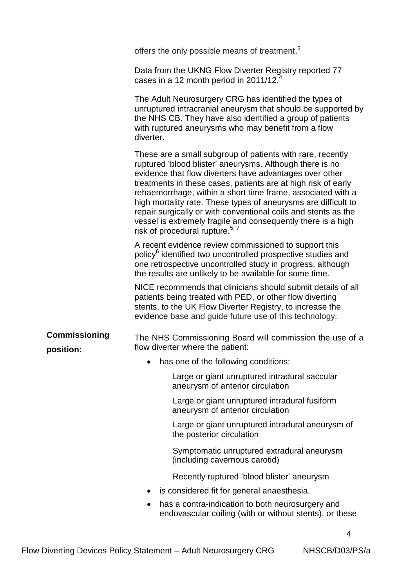|                                   | offers the only possible means of treatment. <sup>3</sup>                                                                                                                                                                                                                                                                                                                                                                                                                                                                                                           |  |  |  |  |  |
|-----------------------------------|---------------------------------------------------------------------------------------------------------------------------------------------------------------------------------------------------------------------------------------------------------------------------------------------------------------------------------------------------------------------------------------------------------------------------------------------------------------------------------------------------------------------------------------------------------------------|--|--|--|--|--|
|                                   | Data from the UKNG Flow Diverter Registry reported 77<br>cases in a 12 month period in $2011/12.4$                                                                                                                                                                                                                                                                                                                                                                                                                                                                  |  |  |  |  |  |
|                                   | The Adult Neurosurgery CRG has identified the types of<br>unruptured intracranial aneurysm that should be supported by<br>the NHS CB. They have also identified a group of patients<br>with ruptured aneurysms who may benefit from a flow<br>diverter.                                                                                                                                                                                                                                                                                                             |  |  |  |  |  |
|                                   | These are a small subgroup of patients with rare, recently<br>ruptured 'blood blister' aneurysms. Although there is no<br>evidence that flow diverters have advantages over other<br>treatments in these cases, patients are at high risk of early<br>rehaemorrhage, within a short time frame, associated with a<br>high mortality rate. These types of aneurysms are difficult to<br>repair surgically or with conventional coils and stents as the<br>vessel is extremely fragile and consequently there is a high<br>risk of procedural rupture. <sup>5,7</sup> |  |  |  |  |  |
|                                   | A recent evidence review commissioned to support this<br>policy <sup>6</sup> identified two uncontrolled prospective studies and<br>one retrospective uncontrolled study in progress, although<br>the results are unlikely to be available for some time.                                                                                                                                                                                                                                                                                                           |  |  |  |  |  |
|                                   | NICE recommends that clinicians should submit details of all<br>patients being treated with PED, or other flow diverting<br>stents, to the UK Flow Diverter Registry, to increase the<br>evidence base and guide future use of this technology.                                                                                                                                                                                                                                                                                                                     |  |  |  |  |  |
| <b>Commissioning</b><br>position: | The NHS Commissioning Board will commission the use of a<br>flow diverter where the patient:                                                                                                                                                                                                                                                                                                                                                                                                                                                                        |  |  |  |  |  |
|                                   | has one of the following conditions:                                                                                                                                                                                                                                                                                                                                                                                                                                                                                                                                |  |  |  |  |  |
|                                   | Large or giant unruptured intradural saccular<br>aneurysm of anterior circulation                                                                                                                                                                                                                                                                                                                                                                                                                                                                                   |  |  |  |  |  |
|                                   | Large or giant unruptured intradural fusiform<br>aneurysm of anterior circulation                                                                                                                                                                                                                                                                                                                                                                                                                                                                                   |  |  |  |  |  |
|                                   | Large or giant unruptured intradural aneurysm of<br>the posterior circulation                                                                                                                                                                                                                                                                                                                                                                                                                                                                                       |  |  |  |  |  |
|                                   | Symptomatic unruptured extradural aneurysm<br>(including cavernous carotid)                                                                                                                                                                                                                                                                                                                                                                                                                                                                                         |  |  |  |  |  |
|                                   | Recently ruptured 'blood blister' aneurysm                                                                                                                                                                                                                                                                                                                                                                                                                                                                                                                          |  |  |  |  |  |
|                                   | is considered fit for general anaesthesia.                                                                                                                                                                                                                                                                                                                                                                                                                                                                                                                          |  |  |  |  |  |
|                                   | has a contra-indication to both neurosurgery and<br>endovascular coiling (with or without stents), or these                                                                                                                                                                                                                                                                                                                                                                                                                                                         |  |  |  |  |  |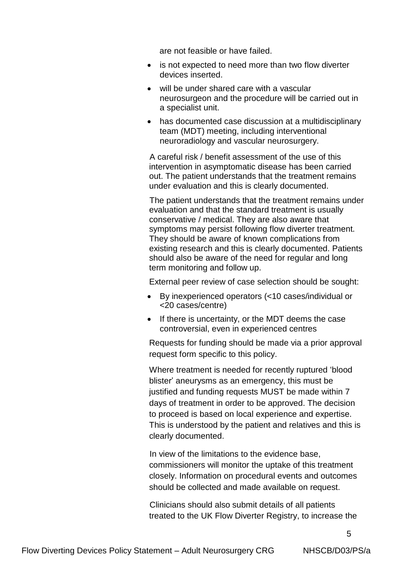are not feasible or have failed.

- is not expected to need more than two flow diverter devices inserted.
- will be under shared care with a vascular neurosurgeon and the procedure will be carried out in a specialist unit.
- has documented case discussion at a multidisciplinary team (MDT) meeting, including interventional neuroradiology and vascular neurosurgery.

 A careful risk / benefit assessment of the use of this intervention in asymptomatic disease has been carried out. The patient understands that the treatment remains under evaluation and this is clearly documented.

 The patient understands that the treatment remains under evaluation and that the standard treatment is usually conservative / medical. They are also aware that symptoms may persist following flow diverter treatment. They should be aware of known complications from existing research and this is clearly documented. Patients should also be aware of the need for regular and long term monitoring and follow up.

External peer review of case selection should be sought:

- By inexperienced operators (<10 cases/individual or <20 cases/centre)
- If there is uncertainty, or the MDT deems the case controversial, even in experienced centres

Requests for funding should be made via a prior approval request form specific to this policy.

Where treatment is needed for recently ruptured 'blood blister' aneurysms as an emergency, this must be justified and funding requests MUST be made within 7 days of treatment in order to be approved. The decision to proceed is based on local experience and expertise. This is understood by the patient and relatives and this is clearly documented.

 In view of the limitations to the evidence base, commissioners will monitor the uptake of this treatment closely. Information on procedural events and outcomes should be collected and made available on request.

 Clinicians should also submit details of all patients treated to the UK Flow Diverter Registry, to increase the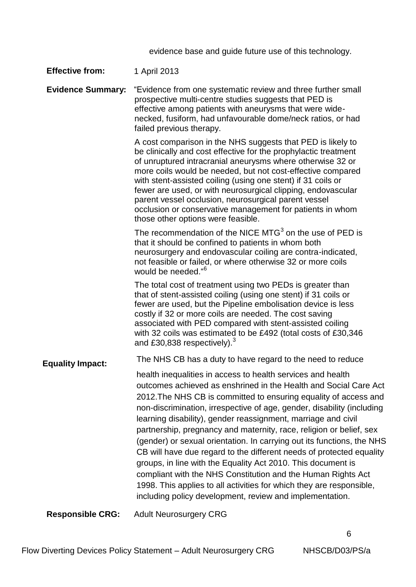evidence base and guide future use of this technology.

| <b>Effective from:</b>   | 1 April 2013                                                                                                                                                                                                                                                                                                                                                                                                                                                                                                                                                                                                                                                                                                                                                                                                                                |  |  |  |  |
|--------------------------|---------------------------------------------------------------------------------------------------------------------------------------------------------------------------------------------------------------------------------------------------------------------------------------------------------------------------------------------------------------------------------------------------------------------------------------------------------------------------------------------------------------------------------------------------------------------------------------------------------------------------------------------------------------------------------------------------------------------------------------------------------------------------------------------------------------------------------------------|--|--|--|--|
| <b>Evidence Summary:</b> | "Evidence from one systematic review and three further small<br>prospective multi-centre studies suggests that PED is<br>effective among patients with aneurysms that were wide-<br>necked, fusiform, had unfavourable dome/neck ratios, or had<br>failed previous therapy.                                                                                                                                                                                                                                                                                                                                                                                                                                                                                                                                                                 |  |  |  |  |
|                          | A cost comparison in the NHS suggests that PED is likely to<br>be clinically and cost effective for the prophylactic treatment<br>of unruptured intracranial aneurysms where otherwise 32 or<br>more coils would be needed, but not cost-effective compared<br>with stent-assisted coiling (using one stent) if 31 coils or<br>fewer are used, or with neurosurgical clipping, endovascular<br>parent vessel occlusion, neurosurgical parent vessel<br>occlusion or conservative management for patients in whom<br>those other options were feasible.                                                                                                                                                                                                                                                                                      |  |  |  |  |
|                          | The recommendation of the NICE MTG <sup>3</sup> on the use of PED is<br>that it should be confined to patients in whom both<br>neurosurgery and endovascular coiling are contra-indicated,<br>not feasible or failed, or where otherwise 32 or more coils<br>would be needed." <sup>6</sup>                                                                                                                                                                                                                                                                                                                                                                                                                                                                                                                                                 |  |  |  |  |
|                          | The total cost of treatment using two PEDs is greater than<br>that of stent-assisted coiling (using one stent) if 31 coils or<br>fewer are used, but the Pipeline embolisation device is less<br>costly if 32 or more coils are needed. The cost saving<br>associated with PED compared with stent-assisted coiling<br>with 32 coils was estimated to be £492 (total costs of £30,346<br>and £30,838 respectively). <sup>3</sup>                                                                                                                                                                                                                                                                                                                                                                                                            |  |  |  |  |
| <b>Equality Impact:</b>  | The NHS CB has a duty to have regard to the need to reduce                                                                                                                                                                                                                                                                                                                                                                                                                                                                                                                                                                                                                                                                                                                                                                                  |  |  |  |  |
|                          | health inequalities in access to health services and health<br>outcomes achieved as enshrined in the Health and Social Care Act<br>2012. The NHS CB is committed to ensuring equality of access and<br>non-discrimination, irrespective of age, gender, disability (including<br>learning disability), gender reassignment, marriage and civil<br>partnership, pregnancy and maternity, race, religion or belief, sex<br>(gender) or sexual orientation. In carrying out its functions, the NHS<br>CB will have due regard to the different needs of protected equality<br>groups, in line with the Equality Act 2010. This document is<br>compliant with the NHS Constitution and the Human Rights Act<br>1998. This applies to all activities for which they are responsible,<br>including policy development, review and implementation. |  |  |  |  |
|                          | $\mathbf{A}$ $\mathbf{A}$ $\mathbf{A}$ $\mathbf{A}$ $\mathbf{A}$ $\mathbf{A}$ $\mathbf{A}$ $\mathbf{A}$ $\mathbf{A}$ $\mathbf{A}$ $\mathbf{A}$ $\mathbf{A}$ $\mathbf{A}$ $\mathbf{A}$ $\mathbf{A}$ $\mathbf{A}$ $\mathbf{A}$ $\mathbf{A}$ $\mathbf{A}$ $\mathbf{A}$ $\mathbf{A}$ $\mathbf{A}$ $\mathbf{A}$ $\mathbf{A}$ $\mathbf{$                                                                                                                                                                                                                                                                                                                                                                                                                                                                                                          |  |  |  |  |

**Responsible CRG:** Adult Neurosurgery CRG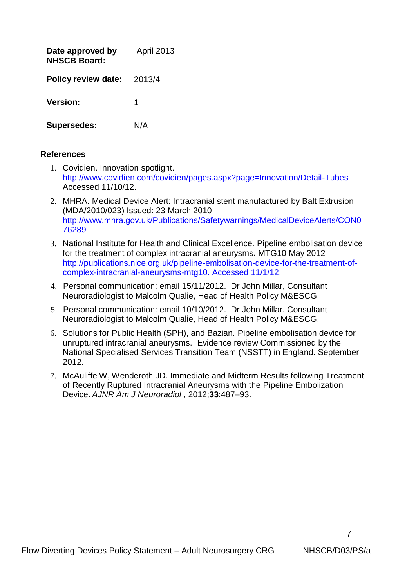| Date approved by<br><b>NHSCB Board:</b> | <b>April 2013</b> |
|-----------------------------------------|-------------------|
| <b>Policy review date:</b>              | 2013/4            |
| <b>Version:</b>                         | 1                 |
| <b>Supersedes:</b>                      | N/A               |

#### **References**

- 1. Covidien. Innovation spotlight. http://www.covidien.com/covidien/pages.aspx?page=Innovation/Detail-Tubes Accessed 11/10/12.
- 2. MHRA. Medical Device Alert: Intracranial stent manufactured by Balt Extrusion (MDA/2010/023) Issued: 23 March 2010 [http://www.mhra.gov.uk/Publications/Safetywarnings/MedicalDeviceAlerts/CON0](http://www.mhra.gov.uk/Publications/Safetywarnings/MedicalDeviceAlerts/CON076289) [76289](http://www.mhra.gov.uk/Publications/Safetywarnings/MedicalDeviceAlerts/CON076289)
- 3. National Institute for Health and Clinical Excellence. Pipeline embolisation device for the treatment of complex intracranial aneurysms**.** MTG10 May 2012 [http://publications.nice.org.uk/pipeline-embolisation-device-for-the-treatment-of](http://publications.nice.org.uk/pipeline-embolisation-device-for-the-treatment-of-complex-intracranial-aneurysms-mtg10.%20Accessed%2011/1/12)[complex-intracranial-aneurysms-mtg10.](http://publications.nice.org.uk/pipeline-embolisation-device-for-the-treatment-of-complex-intracranial-aneurysms-mtg10.%20Accessed%2011/1/12) Accessed 11/1/12.
- 4. Personal communication: email 15/11/2012. Dr John Millar, Consultant Neuroradiologist to Malcolm Qualie, Head of Health Policy M&ESCG
- 5. Personal communication: email 10/10/2012. Dr John Millar, Consultant Neuroradiologist to Malcolm Qualie, Head of Health Policy M&ESCG.
- 6. Solutions for Public Health (SPH), and Bazian. Pipeline embolisation device for unruptured intracranial aneurysms. Evidence review Commissioned by the National Specialised Services Transition Team (NSSTT) in England. September 2012.
- 7. McAuliffe W, Wenderoth JD. Immediate and Midterm Results following Treatment of Recently Ruptured Intracranial Aneurysms with the Pipeline Embolization Device. *AJNR Am J Neuroradiol* , 2012;**33**:487–93.